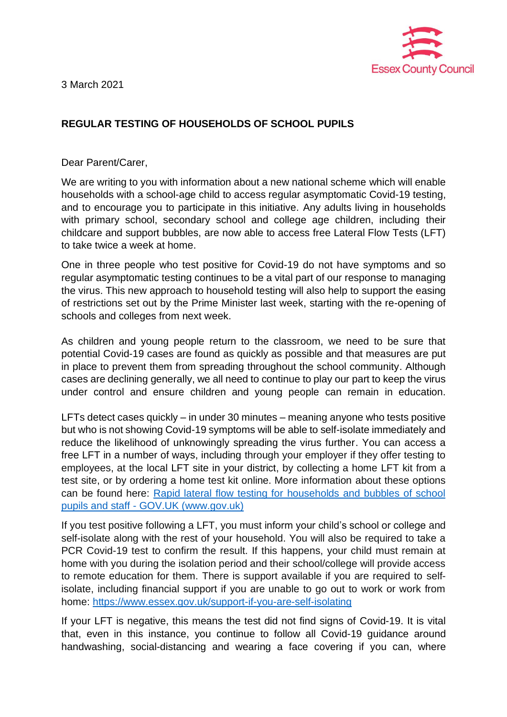

3 March 2021

## **REGULAR TESTING OF HOUSEHOLDS OF SCHOOL PUPILS**

Dear Parent/Carer,

We are writing to you with information about a new national scheme which will enable households with a school-age child to access regular asymptomatic Covid-19 testing, and to encourage you to participate in this initiative. Any adults living in households with primary school, secondary school and college age children, including their childcare and support bubbles, are now able to access free Lateral Flow Tests (LFT) to take twice a week at home.

One in three people who test positive for Covid-19 do not have symptoms and so regular asymptomatic testing continues to be a vital part of our response to managing the virus. This new approach to household testing will also help to support the easing of restrictions set out by the Prime Minister last week, starting with the re-opening of schools and colleges from next week.

As children and young people return to the classroom, we need to be sure that potential Covid-19 cases are found as quickly as possible and that measures are put in place to prevent them from spreading throughout the school community. Although cases are declining generally, we all need to continue to play our part to keep the virus under control and ensure children and young people can remain in education.

LFTs detect cases quickly – in under 30 minutes – meaning anyone who tests positive but who is not showing Covid-19 symptoms will be able to self-isolate immediately and reduce the likelihood of unknowingly spreading the virus further. You can access a free LFT in a number of ways, including through your employer if they offer testing to employees, at the local LFT site in your district, by collecting a home LFT kit from a test site, or by ordering a home test kit online. More information about these options can be found here: [Rapid lateral flow testing for households and bubbles of school](https://eur02.safelinks.protection.outlook.com/?url=https%3A%2F%2Fwww.gov.uk%2Fguidance%2Frapid-lateral-flow-testing-for-households-and-bubbles-of-school-pupils-and-staff%3Futm_medium%3Demail%26utm_campaign%3Dgovuk-notifications%26utm_source%3Dca1c659b-95d6-490e-87c6-d6c09e85ecfb%26utm_content%3Dimmediately&data=04%7C01%7C%7C8f0c981726d04be86fb208d8dcd6b945%7Ca8b4324f155c4215a0f17ed8cc9a992f%7C0%7C0%7C637502162072050186%7CUnknown%7CTWFpbGZsb3d8eyJWIjoiMC4wLjAwMDAiLCJQIjoiV2luMzIiLCJBTiI6Ik1haWwiLCJXVCI6Mn0%3D%7C1000&sdata=qXjYbQo7V9s%2BRRr3pgcSDwyJkMHIA5iJYLI4MjOgDzI%3D&reserved=0)  pupils and staff - [GOV.UK \(www.gov.uk\)](https://eur02.safelinks.protection.outlook.com/?url=https%3A%2F%2Fwww.gov.uk%2Fguidance%2Frapid-lateral-flow-testing-for-households-and-bubbles-of-school-pupils-and-staff%3Futm_medium%3Demail%26utm_campaign%3Dgovuk-notifications%26utm_source%3Dca1c659b-95d6-490e-87c6-d6c09e85ecfb%26utm_content%3Dimmediately&data=04%7C01%7C%7C8f0c981726d04be86fb208d8dcd6b945%7Ca8b4324f155c4215a0f17ed8cc9a992f%7C0%7C0%7C637502162072050186%7CUnknown%7CTWFpbGZsb3d8eyJWIjoiMC4wLjAwMDAiLCJQIjoiV2luMzIiLCJBTiI6Ik1haWwiLCJXVCI6Mn0%3D%7C1000&sdata=qXjYbQo7V9s%2BRRr3pgcSDwyJkMHIA5iJYLI4MjOgDzI%3D&reserved=0)

If you test positive following a LFT, you must inform your child's school or college and self-isolate along with the rest of your household. You will also be required to take a PCR Covid-19 test to confirm the result. If this happens, your child must remain at home with you during the isolation period and their school/college will provide access to remote education for them. There is support available if you are required to selfisolate, including financial support if you are unable to go out to work or work from home:<https://www.essex.gov.uk/support-if-you-are-self-isolating>

If your LFT is negative, this means the test did not find signs of Covid-19. It is vital that, even in this instance, you continue to follow all Covid-19 guidance around handwashing, social-distancing and wearing a face covering if you can, where